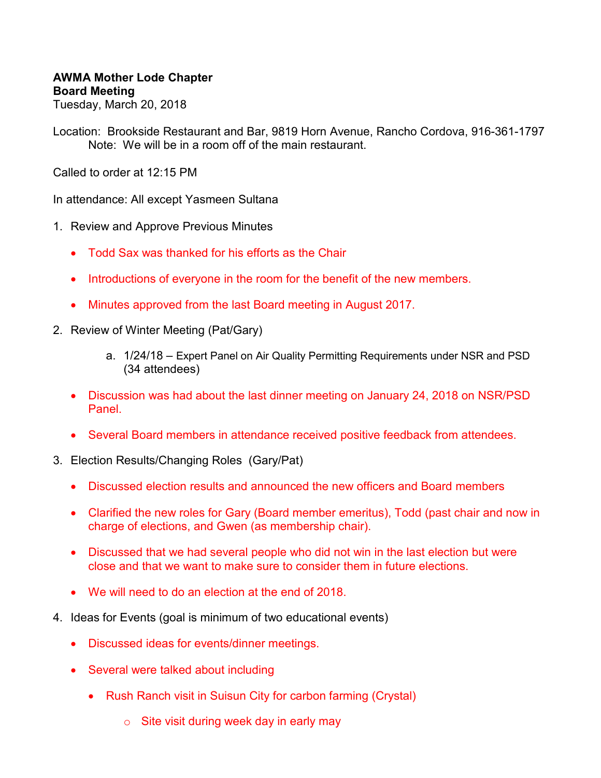## **AWMA Mother Lode Chapter Board Meeting**

Tuesday, March 20, 2018

Location: Brookside Restaurant and Bar, 9819 Horn Avenue, Rancho Cordova, 916-361-1797 Note: We will be in a room off of the main restaurant.

Called to order at 12:15 PM

In attendance: All except Yasmeen Sultana

- 1. Review and Approve Previous Minutes
	- Todd Sax was thanked for his efforts as the Chair
	- Introductions of everyone in the room for the benefit of the new members.
	- Minutes approved from the last Board meeting in August 2017.
- 2. Review of Winter Meeting (Pat/Gary)
	- a. 1/24/18 Expert Panel on Air Quality Permitting Requirements under NSR and PSD (34 attendees)
	- Discussion was had about the last dinner meeting on January 24, 2018 on NSR/PSD Panel.
	- Several Board members in attendance received positive feedback from attendees.
- 3. Election Results/Changing Roles (Gary/Pat)
	- Discussed election results and announced the new officers and Board members
	- Clarified the new roles for Gary (Board member emeritus), Todd (past chair and now in charge of elections, and Gwen (as membership chair).
	- Discussed that we had several people who did not win in the last election but were close and that we want to make sure to consider them in future elections.
	- We will need to do an election at the end of 2018.
- 4. Ideas for Events (goal is minimum of two educational events)
	- Discussed ideas for events/dinner meetings.
	- Several were talked about including
		- Rush Ranch visit in Suisun City for carbon farming (Crystal)
			- $\circ$  Site visit during week day in early may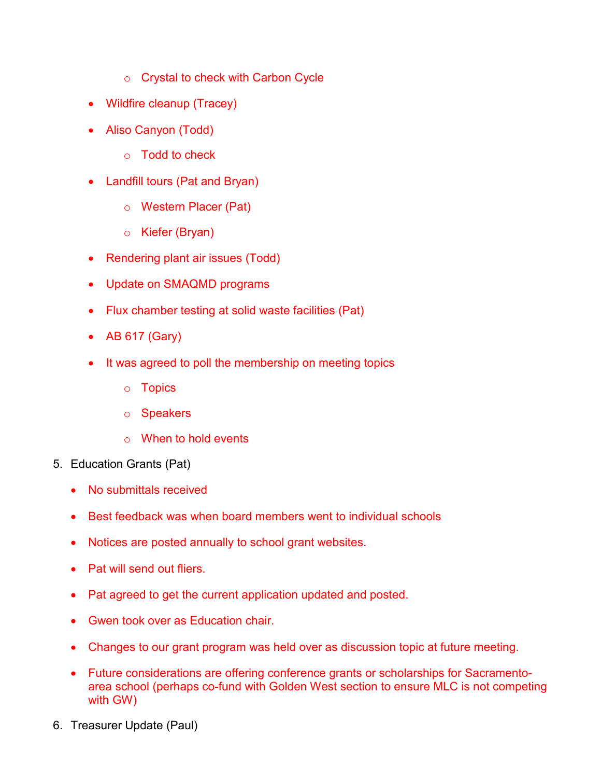- o Crystal to check with Carbon Cycle
- Wildfire cleanup (Tracey)
- Aliso Canyon (Todd)
	- o Todd to check
- Landfill tours (Pat and Bryan)
	- o Western Placer (Pat)
	- o Kiefer (Bryan)
- Rendering plant air issues (Todd)
- Update on SMAQMD programs
- Flux chamber testing at solid waste facilities (Pat)
- AB 617 (Gary)
- It was agreed to poll the membership on meeting topics
	- o Topics
	- o Speakers
	- o When to hold events
- 5. Education Grants (Pat)
	- No submittals received
	- Best feedback was when board members went to individual schools
	- Notices are posted annually to school grant websites.
	- Pat will send out fliers.
	- Pat agreed to get the current application updated and posted.
	- Gwen took over as Education chair.
	- Changes to our grant program was held over as discussion topic at future meeting.
	- Future considerations are offering conference grants or scholarships for Sacramentoarea school (perhaps co-fund with Golden West section to ensure MLC is not competing with GW)
- 6. Treasurer Update (Paul)